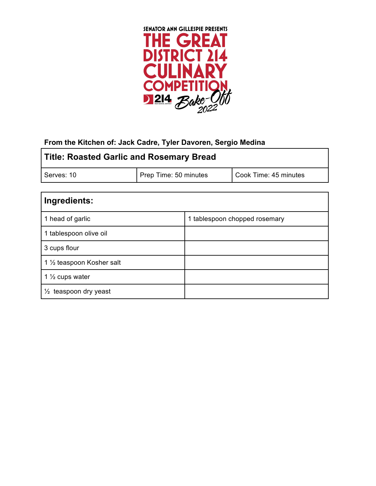

### **From the Kitchen of: Jack Cadre, Tyler Davoren, Sergio Medina**

| <b>Title: Roasted Garlic and Rosemary Bread</b> |                       |                       |
|-------------------------------------------------|-----------------------|-----------------------|
| Serves: 10                                      | Prep Time: 50 minutes | Cook Time: 45 minutes |
|                                                 |                       |                       |

| Ingredients:                           |                               |
|----------------------------------------|-------------------------------|
| 1 head of garlic                       | 1 tablespoon chopped rosemary |
| 1 tablespoon olive oil                 |                               |
| 3 cups flour                           |                               |
| 1 1/ <sub>2</sub> teaspoon Kosher salt |                               |
| 1 $\frac{1}{2}$ cups water             |                               |
| $\frac{1}{2}$ teaspoon dry yeast       |                               |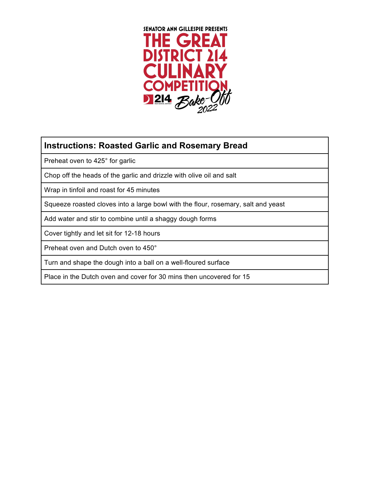

# **Instructions: Roasted Garlic and Rosemary Bread**

Preheat oven to 425° for garlic

Chop off the heads of the garlic and drizzle with olive oil and salt

Wrap in tinfoil and roast for 45 minutes

Squeeze roasted cloves into a large bowl with the flour, rosemary, salt and yeast

Add water and stir to combine until a shaggy dough forms

Cover tightly and let sit for 12-18 hours

Preheat oven and Dutch oven to 450°

Turn and shape the dough into a ball on a well-floured surface

Place in the Dutch oven and cover for 30 mins then uncovered for 15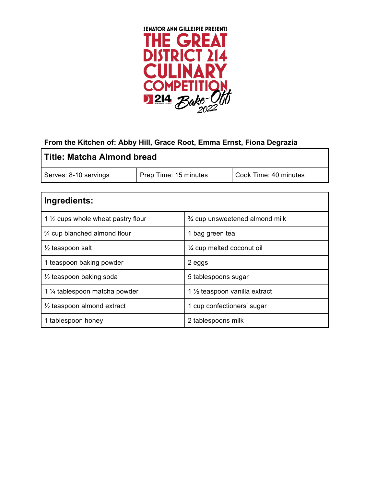

### **From the Kitchen of: Abby Hill, Grace Root, Emma Ernst, Fiona Degrazia**

| <b>Title: Matcha Almond bread</b> |                       |                       |  |
|-----------------------------------|-----------------------|-----------------------|--|
| Serves: 8-10 servings             | Prep Time: 15 minutes | Cook Time: 40 minutes |  |

| Ingredients:                                  |                                          |
|-----------------------------------------------|------------------------------------------|
| 1 $\frac{1}{2}$ cups whole wheat pastry flour | 3⁄4 cup unsweetened almond milk          |
| 3/4 cup blanched almond flour                 | 1 bag green tea                          |
| $\frac{1}{2}$ teaspoon salt                   | 1/4 cup melted coconut oil               |
| 1 teaspoon baking powder                      | 2 eggs                                   |
| $\frac{1}{2}$ teaspoon baking soda            | 5 tablespoons sugar                      |
| 1 1/ <sub>4</sub> tablespoon matcha powder    | 1 $\frac{1}{2}$ teaspoon vanilla extract |
| $\frac{1}{2}$ teaspoon almond extract         | 1 cup confectioners' sugar               |
| 1 tablespoon honey                            | 2 tablespoons milk                       |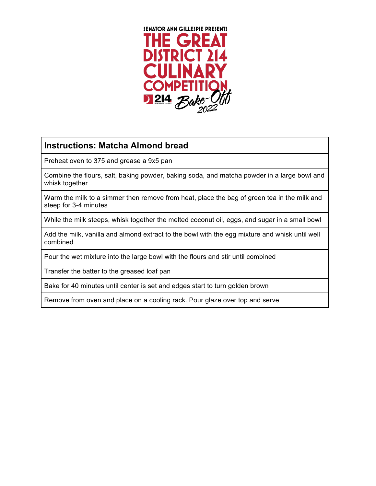

## **Instructions: Matcha Almond bread**

Preheat oven to 375 and grease a 9x5 pan

Combine the flours, salt, baking powder, baking soda, and matcha powder in a large bowl and whisk together

Warm the milk to a simmer then remove from heat, place the bag of green tea in the milk and steep for 3-4 minutes

While the milk steeps, whisk together the melted coconut oil, eggs, and sugar in a small bowl

Add the milk, vanilla and almond extract to the bowl with the egg mixture and whisk until well combined

Pour the wet mixture into the large bowl with the flours and stir until combined

Transfer the batter to the greased loaf pan

Bake for 40 minutes until center is set and edges start to turn golden brown

Remove from oven and place on a cooling rack. Pour glaze over top and serve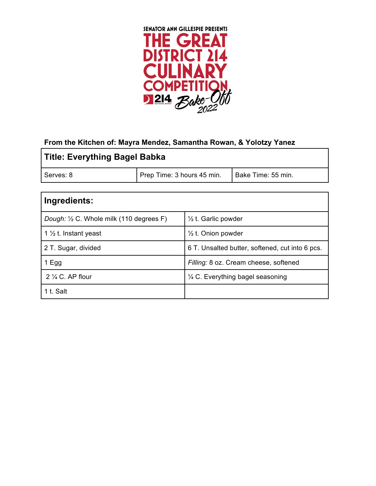

### **From the Kitchen of: Mayra Mendez, Samantha Rowan, & Yolotzy Yanez**

| Title: Everything Bagel Babka |                            |                    |
|-------------------------------|----------------------------|--------------------|
| Serves: 8                     | Prep Time: 3 hours 45 min. | Bake Time: 55 min. |
|                               |                            |                    |

| Ingredients:                             |                                                 |
|------------------------------------------|-------------------------------------------------|
| Dough: 1/2 C. Whole milk (110 degrees F) | $\frac{1}{2}$ t. Garlic powder                  |
| 1 $\frac{1}{2}$ t. Instant yeast         | $\frac{1}{2}$ t. Onion powder                   |
| 2 T. Sugar, divided                      | 6 T. Unsalted butter, softened, cut into 6 pcs. |
| 1 Egg                                    | Filling: 8 oz. Cream cheese, softened           |
| $2\frac{1}{4}$ C. AP flour               | 1/4 C. Everything bagel seasoning               |
| 1 t. Salt                                |                                                 |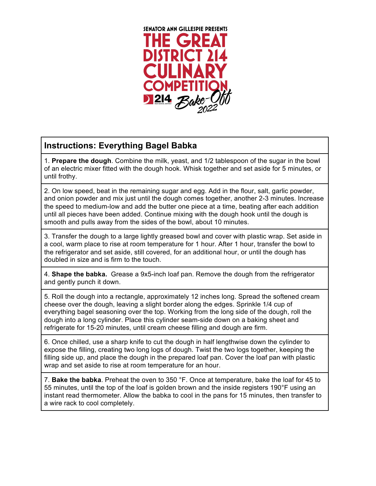

## **Instructions: Everything Bagel Babka**

1. **Prepare the dough**. Combine the milk, yeast, and 1/2 tablespoon of the sugar in the bowl of an electric mixer fitted with the dough hook. Whisk together and set aside for 5 minutes, or until frothy.

2. On low speed, beat in the remaining sugar and egg. Add in the flour, salt, garlic powder, and onion powder and mix just until the dough comes together, another 2-3 minutes. Increase the speed to medium-low and add the butter one piece at a time, beating after each addition until all pieces have been added. Continue mixing with the dough hook until the dough is smooth and pulls away from the sides of the bowl, about 10 minutes.

3. Transfer the dough to a large lightly greased bowl and cover with plastic wrap. Set aside in a cool, warm place to rise at room temperature for 1 hour. After 1 hour, transfer the bowl to the refrigerator and set aside, still covered, for an additional hour, or until the dough has doubled in size and is firm to the touch.

4. **Shape the babka.** Grease a 9x5-inch loaf pan. Remove the dough from the refrigerator and gently punch it down.

5. Roll the dough into a rectangle, approximately 12 inches long. Spread the softened cream cheese over the dough, leaving a slight border along the edges. Sprinkle 1/4 cup of everything bagel seasoning over the top. Working from the long side of the dough, roll the dough into a long cylinder. Place this cylinder seam-side down on a baking sheet and refrigerate for 15-20 minutes, until cream cheese filling and dough are firm.

6. Once chilled, use a sharp knife to cut the dough in half lengthwise down the cylinder to expose the filling, creating two long logs of dough. Twist the two logs together, keeping the filling side up, and place the dough in the prepared loaf pan. Cover the loaf pan with plastic wrap and set aside to rise at room temperature for an hour.

7. **Bake the babka**. Preheat the oven to 350 °F. Once at temperature, bake the loaf for 45 to 55 minutes, until the top of the loaf is golden brown and the inside registers 190°F using an instant read thermometer. Allow the babka to cool in the pans for 15 minutes, then transfer to a wire rack to cool completely.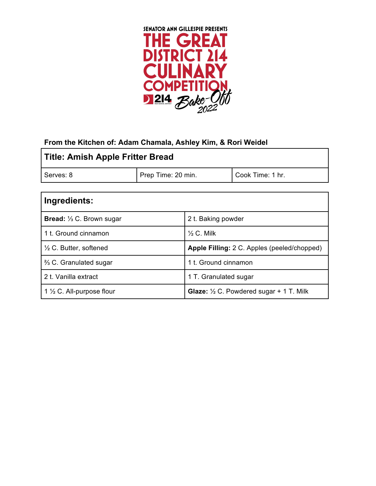

#### **From the Kitchen of: Adam Chamala, Ashley Kim, & Rori Weidel**

| Title: Amish Apple Fritter Bread |                    |                  |
|----------------------------------|--------------------|------------------|
| Serves: 8                        | Prep Time: 20 min. | Cook Time: 1 hr. |
|                                  |                    |                  |

| Ingredients:                         |                                                           |
|--------------------------------------|-----------------------------------------------------------|
| <b>Bread:</b> 1/3 C. Brown sugar     | 2 t. Baking powder                                        |
| 1 t. Ground cinnamon                 | $\%$ C. Milk                                              |
| $\frac{1}{2}$ C. Butter, softened    | Apple Filling: 2 C. Apples (peeled/chopped)               |
| % C. Granulated sugar                | 1 t. Ground cinnamon                                      |
| 2 t. Vanilla extract                 | 1 T. Granulated sugar                                     |
| 1 $\frac{1}{2}$ C. All-purpose flour | <b>Glaze:</b> $\frac{1}{2}$ C. Powdered sugar + 1 T. Milk |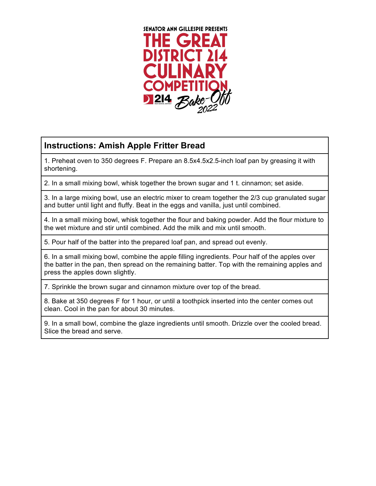

# **Instructions: Amish Apple Fritter Bread**

1. Preheat oven to 350 degrees F. Prepare an 8.5x4.5x2.5-inch loaf pan by greasing it with shortening.

2. In a small mixing bowl, whisk together the brown sugar and 1 t. cinnamon; set aside.

3. In a large mixing bowl, use an electric mixer to cream together the 2/3 cup granulated sugar and butter until light and fluffy. Beat in the eggs and vanilla, just until combined.

4. In a small mixing bowl, whisk together the flour and baking powder. Add the flour mixture to the wet mixture and stir until combined. Add the milk and mix until smooth.

5. Pour half of the batter into the prepared loaf pan, and spread out evenly.

6. In a small mixing bowl, combine the apple filling ingredients. Pour half of the apples over the batter in the pan, then spread on the remaining batter. Top with the remaining apples and press the apples down slightly.

7. Sprinkle the brown sugar and cinnamon mixture over top of the bread.

8. Bake at 350 degrees F for 1 hour, or until a toothpick inserted into the center comes out clean. Cool in the pan for about 30 minutes.

9. In a small bowl, combine the glaze ingredients until smooth. Drizzle over the cooled bread. Slice the bread and serve.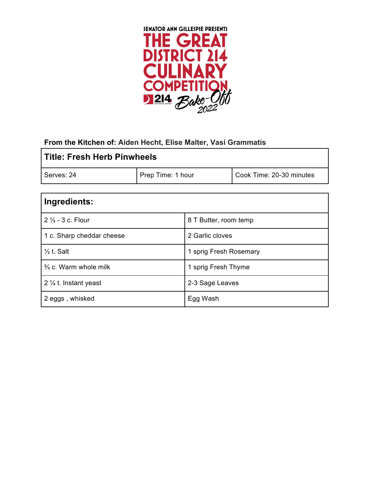

### **From the Kitchen of: Aiden Hecht, Elise Malter, Vasi Grammatis**

| l Title: Fresh Herb Pinwheels |                   |                          |
|-------------------------------|-------------------|--------------------------|
| Serves: 24                    | Prep Time: 1 hour | Cook Time: 20-30 minutes |
| والمتلمد متالم لمعدمته        |                   |                          |

| Ingredients:                     |                        |
|----------------------------------|------------------------|
| $2\frac{1}{2}$ - 3 c. Flour      | 8 T Butter, room temp  |
| 1 c. Sharp cheddar cheese        | 2 Garlic cloves        |
| $\frac{1}{2}$ t. Salt            | 1 sprig Fresh Rosemary |
| $\frac{2}{3}$ c. Warm whole milk | 1 sprig Fresh Thyme    |
| 2 $\frac{1}{4}$ t. Instant yeast | 2-3 Sage Leaves        |
| 2 eggs, whisked                  | Egg Wash               |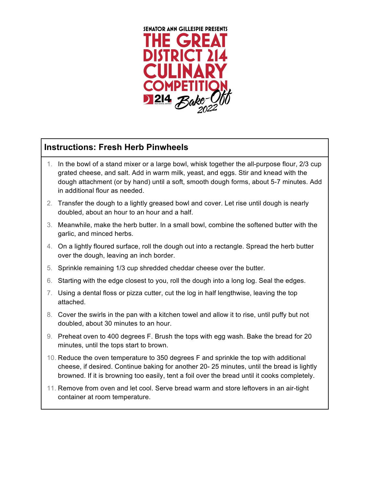

## **Instructions: Fresh Herb Pinwheels**

- 1. In the bowl of a stand mixer or a large bowl, whisk together the all-purpose flour, 2/3 cup grated cheese, and salt. Add in warm milk, yeast, and eggs. Stir and knead with the dough attachment (or by hand) until a soft, smooth dough forms, about 5-7 minutes. Add in additional flour as needed.
- 2. Transfer the dough to a lightly greased bowl and cover. Let rise until dough is nearly doubled, about an hour to an hour and a half.
- 3. Meanwhile, make the herb butter. In a small bowl, combine the softened butter with the garlic, and minced herbs.
- 4. On a lightly floured surface, roll the dough out into a rectangle. Spread the herb butter over the dough, leaving an inch border.
- 5. Sprinkle remaining 1/3 cup shredded cheddar cheese over the butter.
- 6. Starting with the edge closest to you, roll the dough into a long log. Seal the edges.
- 7. Using a dental floss or pizza cutter, cut the log in half lengthwise, leaving the top attached.
- 8. Cover the swirls in the pan with a kitchen towel and allow it to rise, until puffy but not doubled, about 30 minutes to an hour.
- 9. Preheat oven to 400 degrees F. Brush the tops with egg wash. Bake the bread for 20 minutes, until the tops start to brown.
- 10. Reduce the oven temperature to 350 degrees F and sprinkle the top with additional cheese, if desired. Continue baking for another 20- 25 minutes, until the bread is lightly browned. If it is browning too easily, tent a foil over the bread until it cooks completely.
- 11. Remove from oven and let cool. Serve bread warm and store leftovers in an air-tight container at room temperature.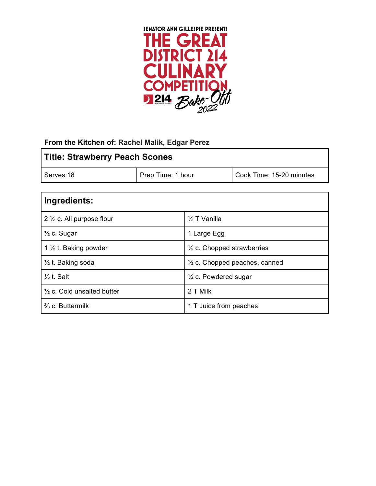

#### **From the Kitchen of: Rachel Malik, Edgar Perez**

| <b>Title: Strawberry Peach Scones</b> |                   |                          |
|---------------------------------------|-------------------|--------------------------|
| Serves:18                             | Prep Time: 1 hour | Cook Time: 15-20 minutes |

| Ingredients:                          |                                          |
|---------------------------------------|------------------------------------------|
| 2 $\frac{1}{2}$ c. All purpose flour  | $\frac{1}{2}$ T Vanilla                  |
| $\frac{1}{2}$ c. Sugar                | 1 Large Egg                              |
| 1 $\frac{1}{2}$ t. Baking powder      | $\frac{1}{2}$ c. Chopped strawberries    |
| 1/2 t. Baking soda                    | $\frac{1}{2}$ c. Chopped peaches, canned |
| $\frac{1}{2}$ t. Salt                 | $\frac{1}{4}$ c. Powdered sugar          |
| $\frac{1}{2}$ c. Cold unsalted butter | 2 T Milk                                 |
| $\frac{2}{3}$ c. Buttermilk           | 1 T Juice from peaches                   |